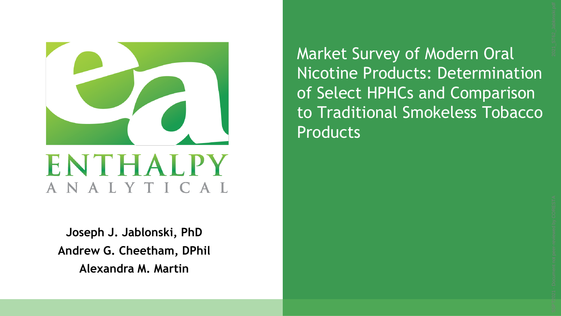

**Joseph J. Jablonski, PhD Andrew G. Cheetham, DPhil Alexandra M. Martin**

Market Survey of Modern Oral Nicotine Products: Determination of Select HPHCs and Comparison to Traditional Smokeless Tobacco **Products**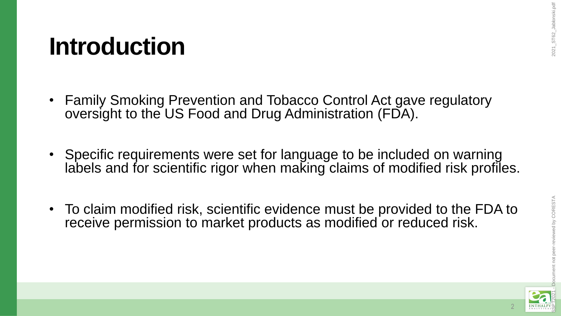#### **Introduction**

- Family Smoking Prevention and Tobacco Control Act gave regulatory oversight to the US Food and Drug Administration (FDA).
- Specific requirements were set for language to be included on warning labels and for scientific rigor when making claims of modified risk profiles.
- To claim modified risk, scientific evidence must be provided to the FDA to receive permission to market products as modified or reduced risk.

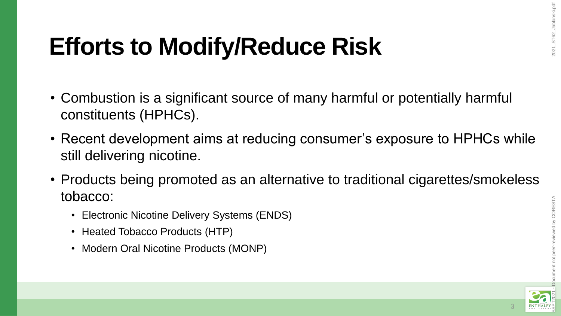## **Efforts to Modify/Reduce Risk**

- Combustion is a significant source of many harmful or potentially harmful constituents (HPHCs).
- Recent development aims at reducing consumer's exposure to HPHCs while still delivering nicotine.
- Products being promoted as an alternative to traditional cigarettes/smokeless tobacco:
	- Electronic Nicotine Delivery Systems (ENDS)
	- Heated Tobacco Products (HTP)
	- Modern Oral Nicotine Products (MONP)

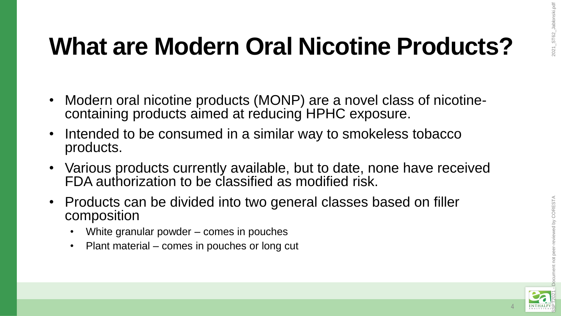## **What are Modern Oral Nicotine Products?**

- Modern oral nicotine products (MONP) are a novel class of nicotinecontaining products aimed at reducing HPHC exposure.
- Intended to be consumed in a similar way to smokeless tobacco products.
- Various products currently available, but to date, none have received FDA authorization to be classified as modified risk.
- Products can be divided into two general classes based on filler composition
	- White granular powder comes in pouches
	- Plant material comes in pouches or long cut



nt not peer-reviewed by CORESTA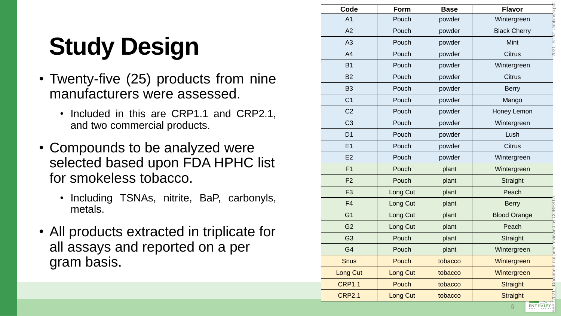## **Study Design**

- Twenty -five (25 ) products from nine manufacturers were assessed .
	- Included in this are CRP1.1 and CRP2.1, and two commercial products .
- Compounds to be analyzed were selected based upon FDA HPHC list for smokeless tobacco.
	- Including TSNAs, nitrite, BaP, carbonyls, metals .
- All products extracted in triplicate for all assays and reported on a per gram basis.

| Code            | Form            | <b>Base</b> | ST62_Jablonski.pd<br><b>Flavor</b> |  |
|-----------------|-----------------|-------------|------------------------------------|--|
| A <sub>1</sub>  | Pouch           | powder      | Wintergreen                        |  |
| A2              | Pouch           | powder      | <b>Black Cherry</b>                |  |
| A3              | Pouch           | powder      | Mint                               |  |
| A4              | Pouch           | powder      | <b>Citrus</b>                      |  |
| <b>B1</b>       | Pouch           | powder      | Wintergreen                        |  |
| <b>B2</b>       | Pouch           | powder      | <b>Citrus</b>                      |  |
| <b>B3</b>       | Pouch           | powder      | <b>Berry</b>                       |  |
| C <sub>1</sub>  | Pouch           | powder      | Mango                              |  |
| C <sub>2</sub>  | Pouch           | powder      | Honey Lemon                        |  |
| C <sub>3</sub>  | Pouch           | powder      | Wintergreen                        |  |
| D <sub>1</sub>  | Pouch           | powder      | Lush                               |  |
| E1              | Pouch           | powder      | <b>Citrus</b>                      |  |
| E2              | Pouch           | powder      | Wintergreen                        |  |
| F1              | Pouch           | plant       | Wintergreen                        |  |
| F <sub>2</sub>  | Pouch           | plant       | Straight                           |  |
| F <sub>3</sub>  | Long Cut        | plant       | Peach                              |  |
| F <sub>4</sub>  | Long Cut        | plant       | <b>Berry</b>                       |  |
| G <sub>1</sub>  | Long Cut        | plant       | <b>Blood Orange</b>                |  |
| G <sub>2</sub>  | Long Cut        | plant       | Peach                              |  |
| G <sub>3</sub>  | Pouch           | plant       | Straight                           |  |
| G <sub>4</sub>  | Pouch           | plant       | Wintergreen                        |  |
| <b>Snus</b>     | Pouch           | tobacco     | Wintergreen                        |  |
| <b>Long Cut</b> | <b>Long Cut</b> | tobacco     | Wintergreen                        |  |
| <b>CRP1.1</b>   | Pouch           | tobacco     | <b>Straight</b>                    |  |
| <b>CRP2.1</b>   | Long Cut        | tobacco     | <b>Straight</b>                    |  |
|                 |                 |             | ENTHALPY<br>5                      |  |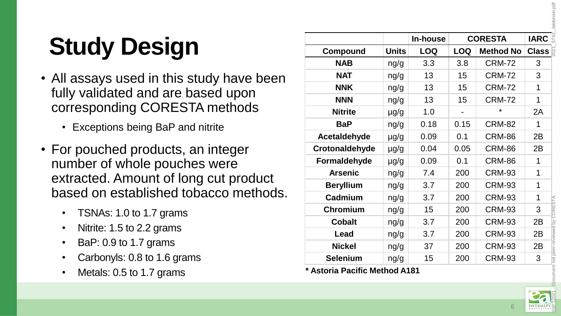Jablonski.pdf 2021\_ST62\_Jablonski.pdf

# **Study Design**

- All assays used in this study have been fully validated and are based upon corresponding CORESTA methods
	- Exceptions being BaP and nitrite
- For pouched products, an integer number of whole pouches were extracted. Amount of long cut product based on established tobacco methods.
	- TSNAs: 1.0 to 1.7 grams
	- Nitrite: 1.5 to 2.2 grams
	- BaP: 0.9 to 1.7 grams
	- Carbonyls: 0.8 to 1.6 grams
	- Metals: 0.5 to 1.7 grams

|                       |              | In-house   | <b>CORESTA</b> |                  | <b>IARC</b>  |  |
|-----------------------|--------------|------------|----------------|------------------|--------------|--|
| Compound              | <b>Units</b> | <b>LOQ</b> | <b>LOQ</b>     | <b>Method No</b> | <b>Class</b> |  |
| <b>NAB</b>            | ng/g         | 3.3        | 3.8            | <b>CRM-72</b>    | 3            |  |
| <b>NAT</b>            | ng/g         | 13         | 15             | <b>CRM-72</b>    | 3            |  |
| <b>NNK</b>            | ng/g         | 13         | 15             | <b>CRM-72</b>    | 1            |  |
| <b>NNN</b>            | ng/g         | 13         | 15             | <b>CRM-72</b>    | 1            |  |
| <b>Nitrite</b>        | $\mu$ g/g    | 1.0        |                | ¥                | 2A           |  |
| <b>BaP</b>            | ng/g         | 0.18       | 0.15           | <b>CRM-82</b>    | 1            |  |
| Acetaldehyde          | µg/g         | 0.09       | 0.1            | <b>CRM-86</b>    | 2B           |  |
| <b>Crotonaldehyde</b> | $\mu$ g/g    | 0.04       | 0.05           | <b>CRM-86</b>    | 2B           |  |
| Formaldehyde          | $\mu$ g/g    | 0.09       | 0.1            | <b>CRM-86</b>    | 1            |  |
| <b>Arsenic</b>        | ng/g         | 7.4        | 200            | <b>CRM-93</b>    | 1            |  |
| <b>Beryllium</b>      | ng/g         | 3.7        | 200            | <b>CRM-93</b>    | 1            |  |
| Cadmium               | ng/g         | 3.7        | 200            | <b>CRM-93</b>    | 1            |  |
| Chromium              | ng/g         | 15         | 200            | <b>CRM-93</b>    | 3            |  |
| <b>Cobalt</b>         | ng/g         | 3.7        | 200            | <b>CRM-93</b>    | 2B           |  |
| Lead                  | ng/g         | 3.7        | 200            | <b>CRM-93</b>    | 2B           |  |
| <b>Nickel</b>         | ng/g         | 37         | 200            | <b>CRM-93</b>    | 2B           |  |
| <b>Selenium</b>       | ng/g         | 15         | 200            | <b>CRM-93</b>    | 3            |  |

**\* Astoria Pacific Method A181**



ent not peer-reviewed by CORESTA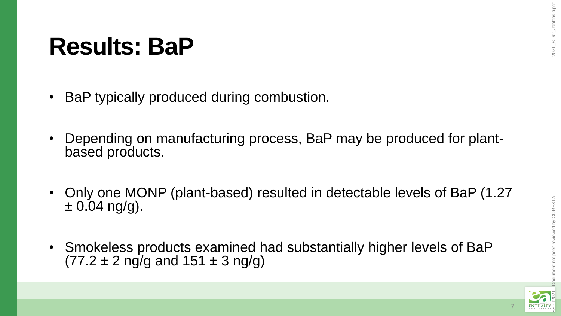#### **Results: BaP**

- BaP typically produced during combustion.
- Depending on manufacturing process, BaP may be produced for plantbased products.
- Only one MONP (plant-based) resulted in detectable levels of BaP (1.27  $\pm 0.04$  ng/g).
- Smokeless products examined had substantially higher levels of BaP  $(77.2 \pm 2 \text{ ng/g} \text{ and } 151 \pm 3 \text{ ng/g})$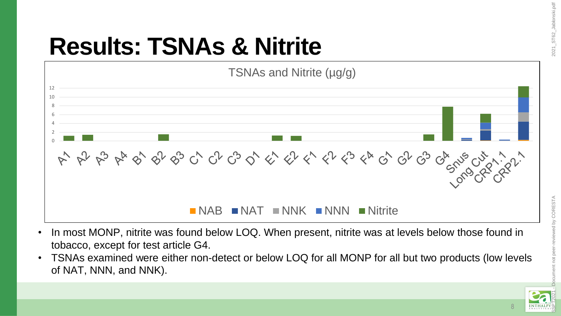## **Results: TSNAs & Nitrite**



- In most MONP, nitrite was found below LOQ. When present, nitrite was at levels below those found in tobacco, except for test article G4.
- TSNAs examined were either non-detect or below LOQ for all MONP for all but two products (low levels of NAT, NNN, and NNK).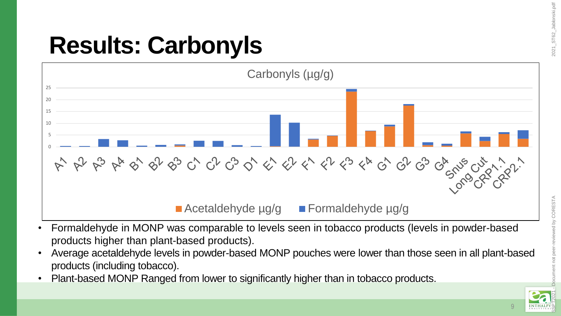## **Results: Carbonyls**



- Formaldehyde in MONP was comparable to levels seen in tobacco products (levels in powder-based products higher than plant-based products).
- Average acetaldehyde levels in powder-based MONP pouches were lower than those seen in all plant-based products (including tobacco).
- Plant-based MONP Ranged from lower to significantly higher than in tobacco products.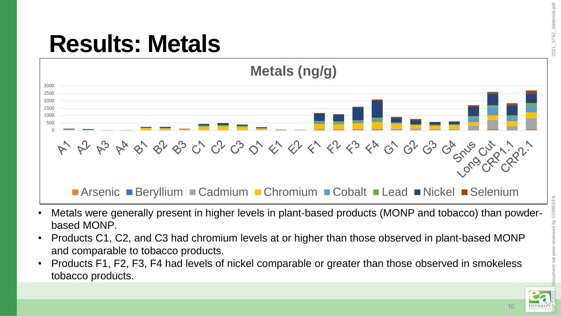#### **Results: Metals**



- Metals were generally present in higher levels in plant-based products (MONP and tobacco) than powderbased MONP.
- Products C1, C2, and C3 had chromium levels at or higher than those observed in plant-based MONP and comparable to tobacco products.
- Products F1, F2, F3, F4 had levels of nickel comparable or greater than those observed in smokeless tobacco products.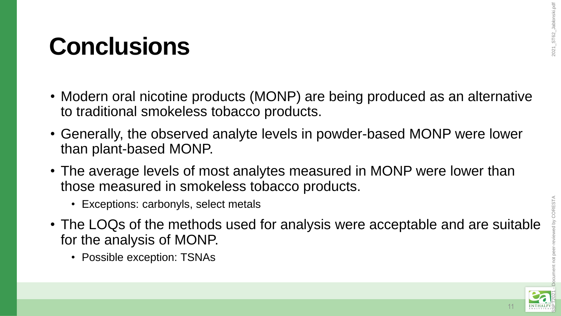#### **Conclusions**

- Modern oral nicotine products (MONP) are being produced as an alternative to traditional smokeless tobacco products.
- Generally, the observed analyte levels in powder-based MONP were lower than plant-based MONP.
- The average levels of most analytes measured in MONP were lower than those measured in smokeless tobacco products.
	- Exceptions: carbonyls, select metals
- The LOQs of the methods used for analysis were acceptable and are suitable for the analysis of MONP.
	- Possible exception: TSNAs

CORESTA